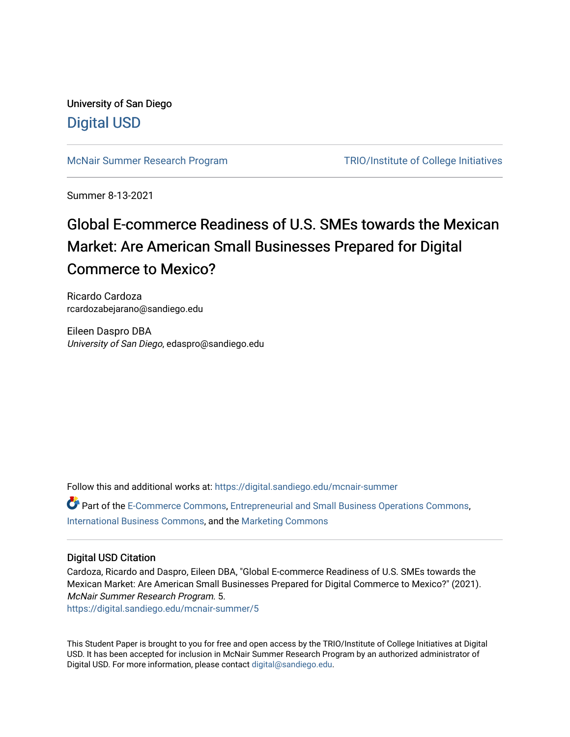University of San Diego [Digital USD](https://digital.sandiego.edu/)

[McNair Summer Research Program](https://digital.sandiego.edu/mcnair-summer) [TRIO/Institute of College Initiatives](https://digital.sandiego.edu/trio) 

Summer 8-13-2021

## Global E-commerce Readiness of U.S. SMEs towards the Mexican Market: Are American Small Businesses Prepared for Digital Commerce to Mexico?

Ricardo Cardoza rcardozabejarano@sandiego.edu

Eileen Daspro DBA University of San Diego, edaspro@sandiego.edu

Follow this and additional works at: [https://digital.sandiego.edu/mcnair-summer](https://digital.sandiego.edu/mcnair-summer?utm_source=digital.sandiego.edu%2Fmcnair-summer%2F5&utm_medium=PDF&utm_campaign=PDFCoverPages) 

Part of the [E-Commerce Commons](http://network.bepress.com/hgg/discipline/624?utm_source=digital.sandiego.edu%2Fmcnair-summer%2F5&utm_medium=PDF&utm_campaign=PDFCoverPages), [Entrepreneurial and Small Business Operations Commons,](http://network.bepress.com/hgg/discipline/630?utm_source=digital.sandiego.edu%2Fmcnair-summer%2F5&utm_medium=PDF&utm_campaign=PDFCoverPages) [International Business Commons](http://network.bepress.com/hgg/discipline/634?utm_source=digital.sandiego.edu%2Fmcnair-summer%2F5&utm_medium=PDF&utm_campaign=PDFCoverPages), and the [Marketing Commons](http://network.bepress.com/hgg/discipline/638?utm_source=digital.sandiego.edu%2Fmcnair-summer%2F5&utm_medium=PDF&utm_campaign=PDFCoverPages) 

#### Digital USD Citation

Cardoza, Ricardo and Daspro, Eileen DBA, "Global E-commerce Readiness of U.S. SMEs towards the Mexican Market: Are American Small Businesses Prepared for Digital Commerce to Mexico?" (2021). McNair Summer Research Program. 5.

[https://digital.sandiego.edu/mcnair-summer/5](https://digital.sandiego.edu/mcnair-summer/5?utm_source=digital.sandiego.edu%2Fmcnair-summer%2F5&utm_medium=PDF&utm_campaign=PDFCoverPages)

This Student Paper is brought to you for free and open access by the TRIO/Institute of College Initiatives at Digital USD. It has been accepted for inclusion in McNair Summer Research Program by an authorized administrator of Digital USD. For more information, please contact [digital@sandiego.edu](mailto:digital@sandiego.edu).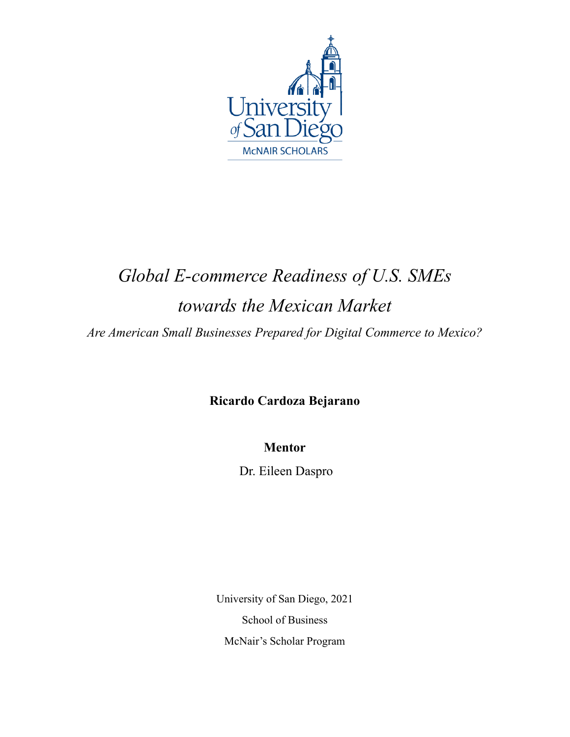

# *Global E-commerce Readiness of U.S. SMEs towards the Mexican Market*

*Are American Small Businesses Prepared for Digital Commerce to Mexico?*

**Ricardo Cardoza Bejarano**

**Mentor**

Dr. Eileen Daspro

University of San Diego, 2021 School of Business McNair's Scholar Program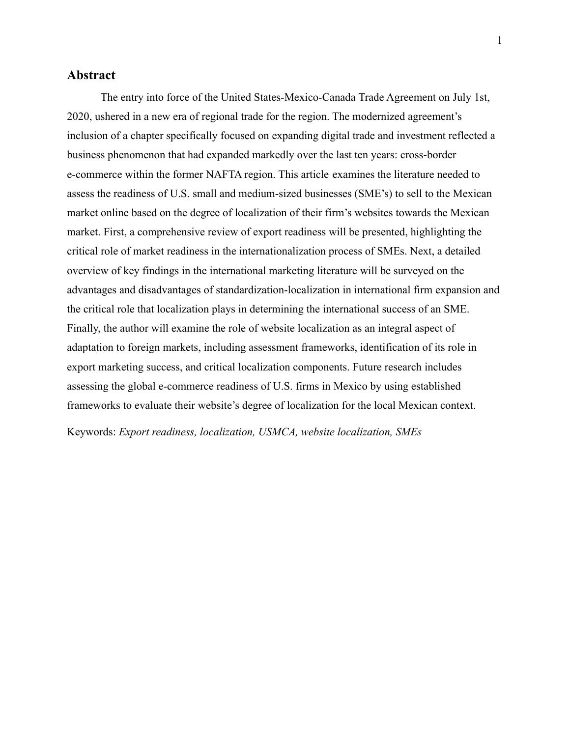#### **Abstract**

The entry into force of the United States-Mexico-Canada Trade Agreement on July 1st, 2020, ushered in a new era of regional trade for the region. The modernized agreement's inclusion of a chapter specifically focused on expanding digital trade and investment reflected a business phenomenon that had expanded markedly over the last ten years: cross-border e-commerce within the former NAFTA region. This article examines the literature needed to assess the readiness of U.S. small and medium-sized businesses (SME's) to sell to the Mexican market online based on the degree of localization of their firm's websites towards the Mexican market. First, a comprehensive review of export readiness will be presented, highlighting the critical role of market readiness in the internationalization process of SMEs. Next, a detailed overview of key findings in the international marketing literature will be surveyed on the advantages and disadvantages of standardization-localization in international firm expansion and the critical role that localization plays in determining the international success of an SME. Finally, the author will examine the role of website localization as an integral aspect of adaptation to foreign markets, including assessment frameworks, identification of its role in export marketing success, and critical localization components. Future research includes assessing the global e-commerce readiness of U.S. firms in Mexico by using established frameworks to evaluate their website's degree of localization for the local Mexican context.

Keywords: *Export readiness, localization, USMCA, website localization, SMEs*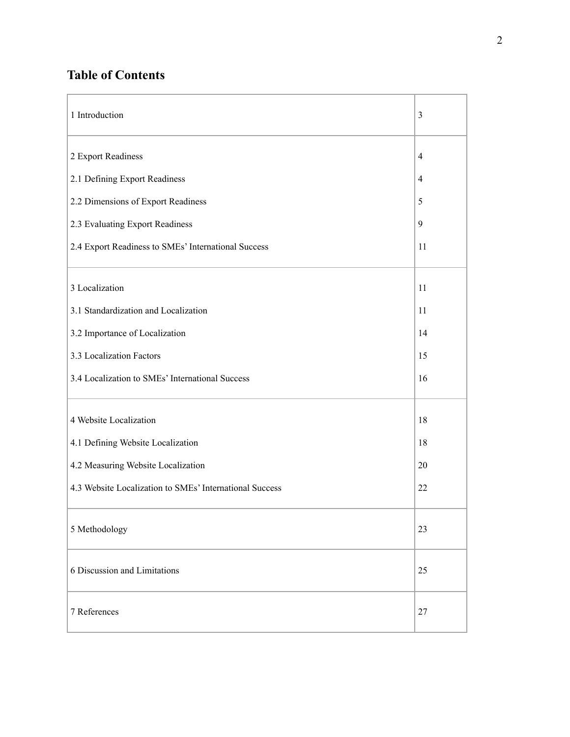### **Table of Contents**

| 1 Introduction                                          | 3              |
|---------------------------------------------------------|----------------|
| 2 Export Readiness                                      | $\overline{4}$ |
| 2.1 Defining Export Readiness                           | 4              |
| 2.2 Dimensions of Export Readiness                      | 5              |
| 2.3 Evaluating Export Readiness                         | 9              |
| 2.4 Export Readiness to SMEs' International Success     | 11             |
| 3 Localization                                          | 11             |
| 3.1 Standardization and Localization                    | 11             |
| 3.2 Importance of Localization                          | 14             |
| 3.3 Localization Factors                                | 15             |
| 3.4 Localization to SMEs' International Success         | 16             |
| 4 Website Localization                                  | 18             |
| 4.1 Defining Website Localization                       | 18             |
| 4.2 Measuring Website Localization                      | 20             |
| 4.3 Website Localization to SMEs' International Success | 22             |
| 5 Methodology                                           | 23             |
| 6 Discussion and Limitations                            | 25             |
| 7 References                                            | 27             |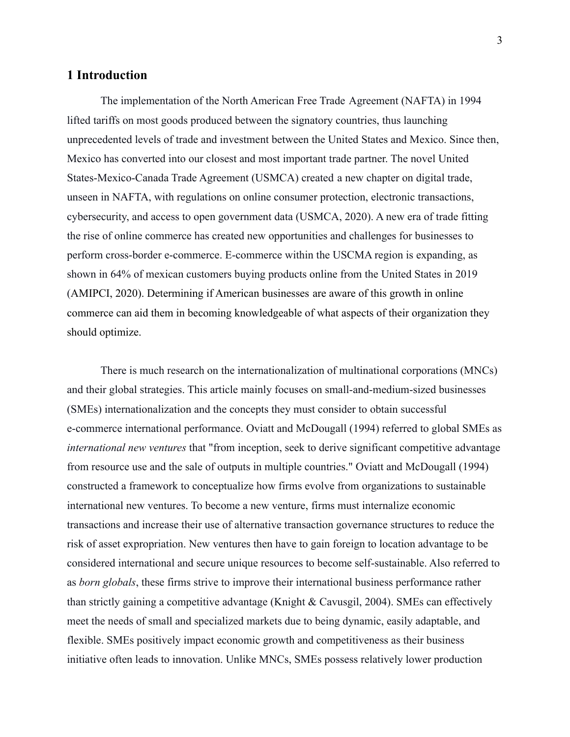#### **1 Introduction**

The implementation of the North American Free Trade Agreement (NAFTA) in 1994 lifted tariffs on most goods produced between the signatory countries, thus launching unprecedented levels of trade and investment between the United States and Mexico. Since then, Mexico has converted into our closest and most important trade partner. The novel United States-Mexico-Canada Trade Agreement (USMCA) created a new chapter on digital trade, unseen in NAFTA, with regulations on online consumer protection, electronic transactions, cybersecurity, and access to open government data (USMCA, 2020). A new era of trade fitting the rise of online commerce has created new opportunities and challenges for businesses to perform cross-border e-commerce. E-commerce within the USCMA region is expanding, as shown in 64% of mexican customers buying products online from the United States in 2019 (AMIPCI, 2020). Determining if American businesses are aware of this growth in online commerce can aid them in becoming knowledgeable of what aspects of their organization they should optimize.

There is much research on the internationalization of multinational corporations (MNCs) and their global strategies. This article mainly focuses on small-and-medium-sized businesses (SMEs) internationalization and the concepts they must consider to obtain successful e-commerce international performance. Oviatt and McDougall (1994) referred to global SMEs as *international new ventures* that "from inception, seek to derive significant competitive advantage from resource use and the sale of outputs in multiple countries." Oviatt and McDougall (1994) constructed a framework to conceptualize how firms evolve from organizations to sustainable international new ventures. To become a new venture, firms must internalize economic transactions and increase their use of alternative transaction governance structures to reduce the risk of asset expropriation. New ventures then have to gain foreign to location advantage to be considered international and secure unique resources to become self-sustainable. Also referred to as *born globals*, these firms strive to improve their international business performance rather than strictly gaining a competitive advantage (Knight & Cavusgil, 2004). SMEs can effectively meet the needs of small and specialized markets due to being dynamic, easily adaptable, and flexible. SMEs positively impact economic growth and competitiveness as their business initiative often leads to innovation. Unlike MNCs, SMEs possess relatively lower production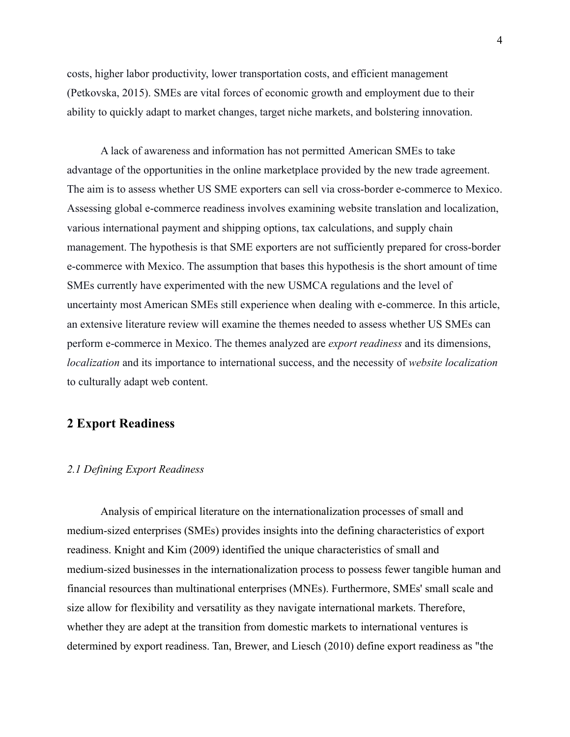costs, higher labor productivity, lower transportation costs, and efficient management (Petkovska, 2015). SMEs are vital forces of economic growth and employment due to their ability to quickly adapt to market changes, target niche markets, and bolstering innovation.

A lack of awareness and information has not permitted American SMEs to take advantage of the opportunities in the online marketplace provided by the new trade agreement. The aim is to assess whether US SME exporters can sell via cross-border e-commerce to Mexico. Assessing global e-commerce readiness involves examining website translation and localization, various international payment and shipping options, tax calculations, and supply chain management. The hypothesis is that SME exporters are not sufficiently prepared for cross-border e-commerce with Mexico. The assumption that bases this hypothesis is the short amount of time SMEs currently have experimented with the new USMCA regulations and the level of uncertainty most American SMEs still experience when dealing with e-commerce. In this article, an extensive literature review will examine the themes needed to assess whether US SMEs can perform e-commerce in Mexico. The themes analyzed are *export readiness* and its dimensions, *localization* and its importance to international success, and the necessity of *website localization* to culturally adapt web content.

#### **2 Export Readiness**

#### *2.1 Defining Export Readiness*

Analysis of empirical literature on the internationalization processes of small and medium-sized enterprises (SMEs) provides insights into the defining characteristics of export readiness. Knight and Kim (2009) identified the unique characteristics of small and medium-sized businesses in the internationalization process to possess fewer tangible human and financial resources than multinational enterprises (MNEs). Furthermore, SMEs' small scale and size allow for flexibility and versatility as they navigate international markets. Therefore, whether they are adept at the transition from domestic markets to international ventures is determined by export readiness. Tan, Brewer, and Liesch (2010) define export readiness as "the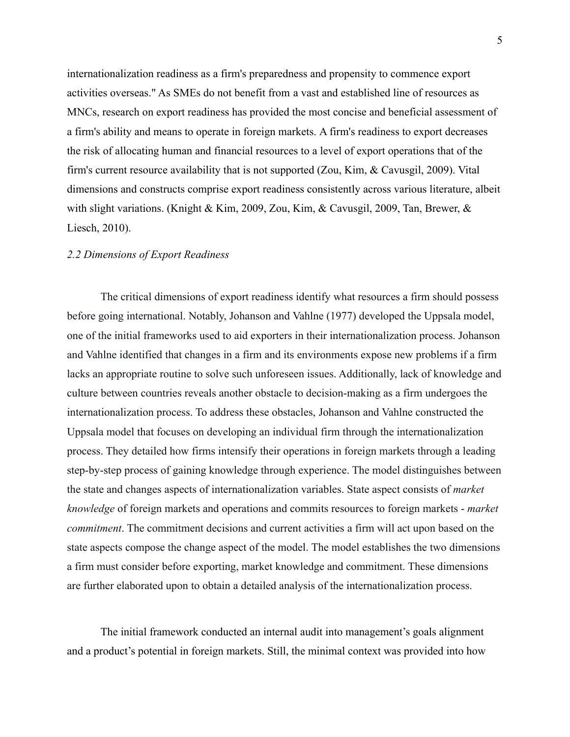internationalization readiness as a firm's preparedness and propensity to commence export activities overseas." As SMEs do not benefit from a vast and established line of resources as MNCs, research on export readiness has provided the most concise and beneficial assessment of a firm's ability and means to operate in foreign markets. A firm's readiness to export decreases the risk of allocating human and financial resources to a level of export operations that of the firm's current resource availability that is not supported (Zou, Kim, & Cavusgil, 2009). Vital dimensions and constructs comprise export readiness consistently across various literature, albeit with slight variations. (Knight & Kim, 2009, Zou, Kim, & Cavusgil, 2009, Tan, Brewer,  $\&$ Liesch, 2010).

#### *2.2 Dimensions of Export Readiness*

The critical dimensions of export readiness identify what resources a firm should possess before going international. Notably, Johanson and Vahlne (1977) developed the Uppsala model, one of the initial frameworks used to aid exporters in their internationalization process. Johanson and Vahlne identified that changes in a firm and its environments expose new problems if a firm lacks an appropriate routine to solve such unforeseen issues. Additionally, lack of knowledge and culture between countries reveals another obstacle to decision-making as a firm undergoes the internationalization process. To address these obstacles, Johanson and Vahlne constructed the Uppsala model that focuses on developing an individual firm through the internationalization process. They detailed how firms intensify their operations in foreign markets through a leading step-by-step process of gaining knowledge through experience. The model distinguishes between the state and changes aspects of internationalization variables. State aspect consists of *market knowledge* of foreign markets and operations and commits resources to foreign markets - *market commitment*. The commitment decisions and current activities a firm will act upon based on the state aspects compose the change aspect of the model. The model establishes the two dimensions a firm must consider before exporting, market knowledge and commitment. These dimensions are further elaborated upon to obtain a detailed analysis of the internationalization process.

The initial framework conducted an internal audit into management's goals alignment and a product's potential in foreign markets. Still, the minimal context was provided into how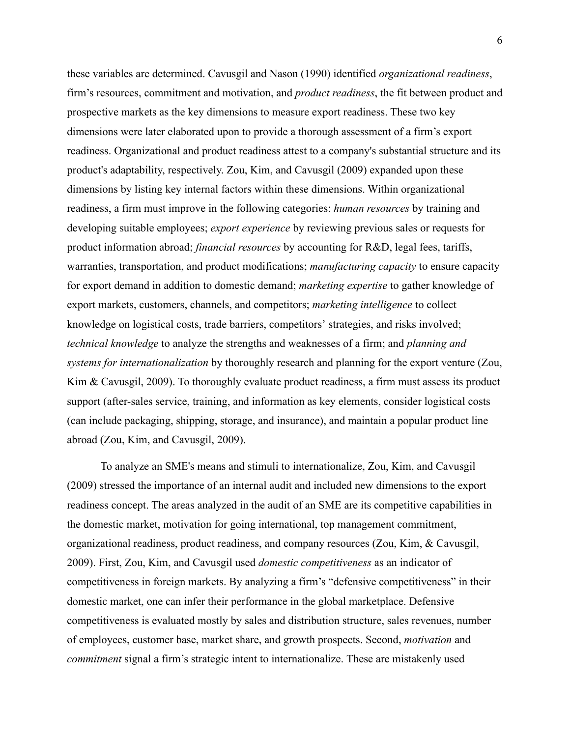these variables are determined. Cavusgil and Nason (1990) identified *organizational readiness*, firm's resources, commitment and motivation, and *product readiness*, the fit between product and prospective markets as the key dimensions to measure export readiness. These two key dimensions were later elaborated upon to provide a thorough assessment of a firm's export readiness. Organizational and product readiness attest to a company's substantial structure and its product's adaptability, respectively. Zou, Kim, and Cavusgil (2009) expanded upon these dimensions by listing key internal factors within these dimensions. Within organizational readiness, a firm must improve in the following categories: *human resources* by training and developing suitable employees; *export experience* by reviewing previous sales or requests for product information abroad; *financial resources* by accounting for R&D, legal fees, tariffs, warranties, transportation, and product modifications; *manufacturing capacity* to ensure capacity for export demand in addition to domestic demand; *marketing expertise* to gather knowledge of export markets, customers, channels, and competitors; *marketing intelligence* to collect knowledge on logistical costs, trade barriers, competitors' strategies, and risks involved; *technical knowledge* to analyze the strengths and weaknesses of a firm; and *planning and systems for internationalization* by thoroughly research and planning for the export venture (Zou, Kim & Cavusgil, 2009). To thoroughly evaluate product readiness, a firm must assess its product support (after-sales service, training, and information as key elements, consider logistical costs (can include packaging, shipping, storage, and insurance), and maintain a popular product line abroad (Zou, Kim, and Cavusgil, 2009).

To analyze an SME's means and stimuli to internationalize, Zou, Kim, and Cavusgil (2009) stressed the importance of an internal audit and included new dimensions to the export readiness concept. The areas analyzed in the audit of an SME are its competitive capabilities in the domestic market, motivation for going international, top management commitment, organizational readiness, product readiness, and company resources (Zou, Kim, & Cavusgil, 2009). First, Zou, Kim, and Cavusgil used *domestic competitiveness* as an indicator of competitiveness in foreign markets. By analyzing a firm's "defensive competitiveness" in their domestic market, one can infer their performance in the global marketplace. Defensive competitiveness is evaluated mostly by sales and distribution structure, sales revenues, number of employees, customer base, market share, and growth prospects. Second, *motivation* and *commitment* signal a firm's strategic intent to internationalize. These are mistakenly used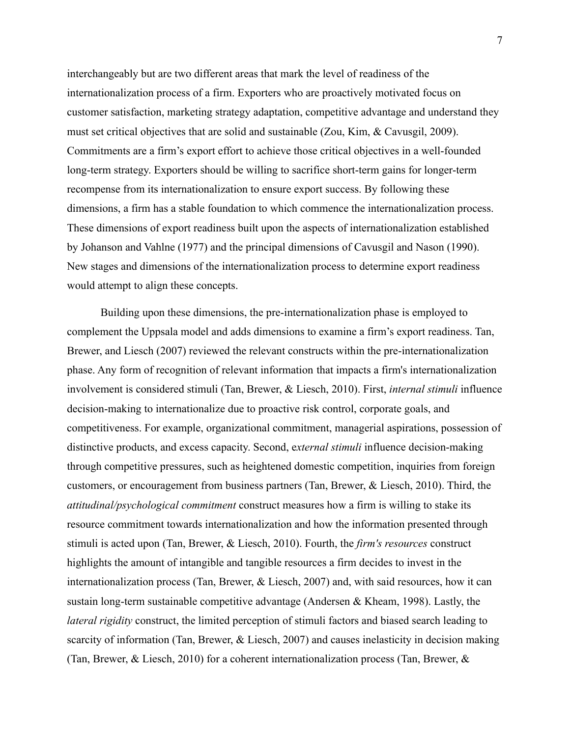interchangeably but are two different areas that mark the level of readiness of the internationalization process of a firm. Exporters who are proactively motivated focus on customer satisfaction, marketing strategy adaptation, competitive advantage and understand they must set critical objectives that are solid and sustainable (Zou, Kim, & Cavusgil, 2009). Commitments are a firm's export effort to achieve those critical objectives in a well-founded long-term strategy. Exporters should be willing to sacrifice short-term gains for longer-term recompense from its internationalization to ensure export success. By following these dimensions, a firm has a stable foundation to which commence the internationalization process. These dimensions of export readiness built upon the aspects of internationalization established by Johanson and Vahlne (1977) and the principal dimensions of Cavusgil and Nason (1990). New stages and dimensions of the internationalization process to determine export readiness would attempt to align these concepts.

Building upon these dimensions, the pre-internationalization phase is employed to complement the Uppsala model and adds dimensions to examine a firm's export readiness. Tan, Brewer, and Liesch (2007) reviewed the relevant constructs within the pre-internationalization phase. Any form of recognition of relevant information that impacts a firm's internationalization involvement is considered stimuli (Tan, Brewer, & Liesch, 2010). First, *internal stimuli* influence decision-making to internationalize due to proactive risk control, corporate goals, and competitiveness. For example, organizational commitment, managerial aspirations, possession of distinctive products, and excess capacity. Second, e*xternal stimuli* influence decision-making through competitive pressures, such as heightened domestic competition, inquiries from foreign customers, or encouragement from business partners (Tan, Brewer, & Liesch, 2010). Third, the *attitudinal/psychological commitment* construct measures how a firm is willing to stake its resource commitment towards internationalization and how the information presented through stimuli is acted upon (Tan, Brewer, & Liesch, 2010). Fourth, the *firm's resources* construct highlights the amount of intangible and tangible resources a firm decides to invest in the internationalization process (Tan, Brewer, & Liesch, 2007) and, with said resources, how it can sustain long-term sustainable competitive advantage (Andersen & Kheam, 1998). Lastly, the *lateral rigidity* construct, the limited perception of stimuli factors and biased search leading to scarcity of information (Tan, Brewer, & Liesch, 2007) and causes inelasticity in decision making (Tan, Brewer, & Liesch, 2010) for a coherent internationalization process (Tan, Brewer, &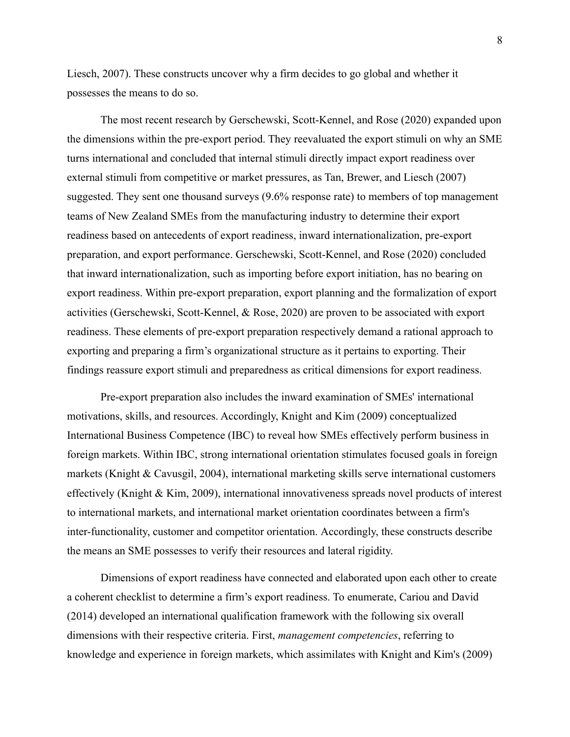Liesch, 2007). These constructs uncover why a firm decides to go global and whether it possesses the means to do so.

The most recent research by Gerschewski, Scott-Kennel, and Rose (2020) expanded upon the dimensions within the pre-export period. They reevaluated the export stimuli on why an SME turns international and concluded that internal stimuli directly impact export readiness over external stimuli from competitive or market pressures, as Tan, Brewer, and Liesch (2007) suggested. They sent one thousand surveys (9.6% response rate) to members of top management teams of New Zealand SMEs from the manufacturing industry to determine their export readiness based on antecedents of export readiness, inward internationalization, pre-export preparation, and export performance. Gerschewski, Scott-Kennel, and Rose (2020) concluded that inward internationalization, such as importing before export initiation, has no bearing on export readiness. Within pre-export preparation, export planning and the formalization of export activities (Gerschewski, Scott-Kennel, & Rose, 2020) are proven to be associated with export readiness. These elements of pre-export preparation respectively demand a rational approach to exporting and preparing a firm's organizational structure as it pertains to exporting. Their findings reassure export stimuli and preparedness as critical dimensions for export readiness.

Pre-export preparation also includes the inward examination of SMEs' international motivations, skills, and resources. Accordingly, Knight and Kim (2009) conceptualized International Business Competence (IBC) to reveal how SMEs effectively perform business in foreign markets. Within IBC, strong international orientation stimulates focused goals in foreign markets (Knight & Cavusgil, 2004), international marketing skills serve international customers effectively (Knight & Kim, 2009), international innovativeness spreads novel products of interest to international markets, and international market orientation coordinates between a firm's inter-functionality, customer and competitor orientation. Accordingly, these constructs describe the means an SME possesses to verify their resources and lateral rigidity.

Dimensions of export readiness have connected and elaborated upon each other to create a coherent checklist to determine a firm's export readiness. To enumerate, Cariou and David (2014) developed an international qualification framework with the following six overall dimensions with their respective criteria. First, *management competencies*, referring to knowledge and experience in foreign markets, which assimilates with Knight and Kim's (2009)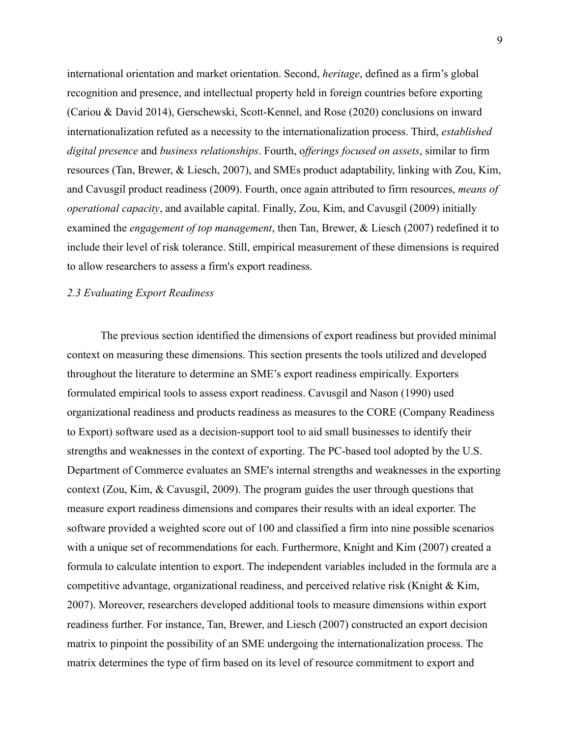international orientation and market orientation. Second, *heritage*, defined as a firm's global recognition and presence, and intellectual property held in foreign countries before exporting (Cariou & David 2014), Gerschewski, Scott-Kennel, and Rose (2020) conclusions on inward internationalization refuted as a necessity to the internationalization process. Third, *established digital presence* and *business relationships*. Fourth, o*fferings focused on assets*, similar to firm resources (Tan, Brewer, & Liesch, 2007), and SMEs product adaptability, linking with Zou, Kim, and Cavusgil product readiness (2009). Fourth, once again attributed to firm resources, *means of operational capacity*, and available capital. Finally, Zou, Kim, and Cavusgil (2009) initially examined the *engagement of top management*, then Tan, Brewer, & Liesch (2007) redefined it to include their level of risk tolerance. Still, empirical measurement of these dimensions is required to allow researchers to assess a firm's export readiness.

#### *2.3 Evaluating Export Readiness*

The previous section identified the dimensions of export readiness but provided minimal context on measuring these dimensions. This section presents the tools utilized and developed throughout the literature to determine an SME's export readiness empirically. Exporters formulated empirical tools to assess export readiness. Cavusgil and Nason (1990) used organizational readiness and products readiness as measures to the CORE (Company Readiness to Export) software used as a decision-support tool to aid small businesses to identify their strengths and weaknesses in the context of exporting. The PC-based tool adopted by the U.S. Department of Commerce evaluates an SME's internal strengths and weaknesses in the exporting context (Zou, Kim, & Cavusgil, 2009). The program guides the user through questions that measure export readiness dimensions and compares their results with an ideal exporter. The software provided a weighted score out of 100 and classified a firm into nine possible scenarios with a unique set of recommendations for each. Furthermore, Knight and Kim (2007) created a formula to calculate intention to export. The independent variables included in the formula are a competitive advantage, organizational readiness, and perceived relative risk (Knight  $\&$  Kim, 2007). Moreover, researchers developed additional tools to measure dimensions within export readiness further. For instance, Tan, Brewer, and Liesch (2007) constructed an export decision matrix to pinpoint the possibility of an SME undergoing the internationalization process. The matrix determines the type of firm based on its level of resource commitment to export and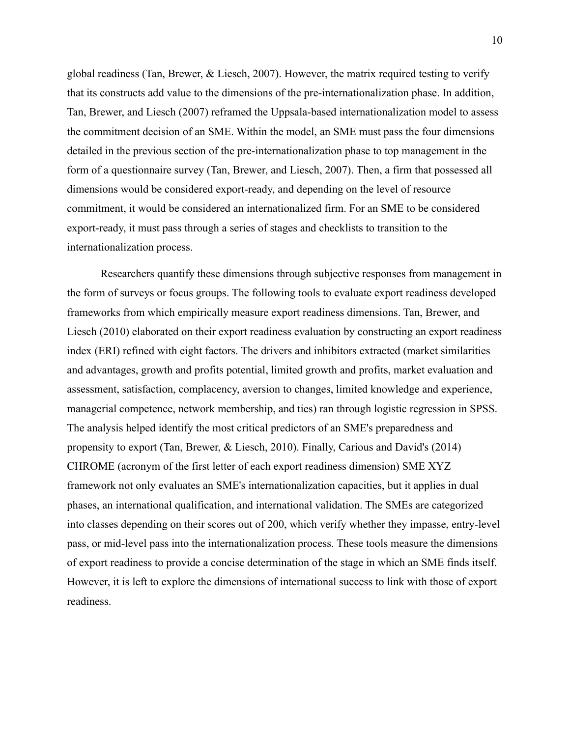global readiness (Tan, Brewer, & Liesch, 2007). However, the matrix required testing to verify that its constructs add value to the dimensions of the pre-internationalization phase. In addition, Tan, Brewer, and Liesch (2007) reframed the Uppsala-based internationalization model to assess the commitment decision of an SME. Within the model, an SME must pass the four dimensions detailed in the previous section of the pre-internationalization phase to top management in the form of a questionnaire survey (Tan, Brewer, and Liesch, 2007). Then, a firm that possessed all dimensions would be considered export-ready, and depending on the level of resource commitment, it would be considered an internationalized firm. For an SME to be considered export-ready, it must pass through a series of stages and checklists to transition to the internationalization process.

Researchers quantify these dimensions through subjective responses from management in the form of surveys or focus groups. The following tools to evaluate export readiness developed frameworks from which empirically measure export readiness dimensions. Tan, Brewer, and Liesch (2010) elaborated on their export readiness evaluation by constructing an export readiness index (ERI) refined with eight factors. The drivers and inhibitors extracted (market similarities and advantages, growth and profits potential, limited growth and profits, market evaluation and assessment, satisfaction, complacency, aversion to changes, limited knowledge and experience, managerial competence, network membership, and ties) ran through logistic regression in SPSS. The analysis helped identify the most critical predictors of an SME's preparedness and propensity to export (Tan, Brewer, & Liesch, 2010). Finally, Carious and David's (2014) CHROME (acronym of the first letter of each export readiness dimension) SME XYZ framework not only evaluates an SME's internationalization capacities, but it applies in dual phases, an international qualification, and international validation. The SMEs are categorized into classes depending on their scores out of 200, which verify whether they impasse, entry-level pass, or mid-level pass into the internationalization process. These tools measure the dimensions of export readiness to provide a concise determination of the stage in which an SME finds itself. However, it is left to explore the dimensions of international success to link with those of export readiness.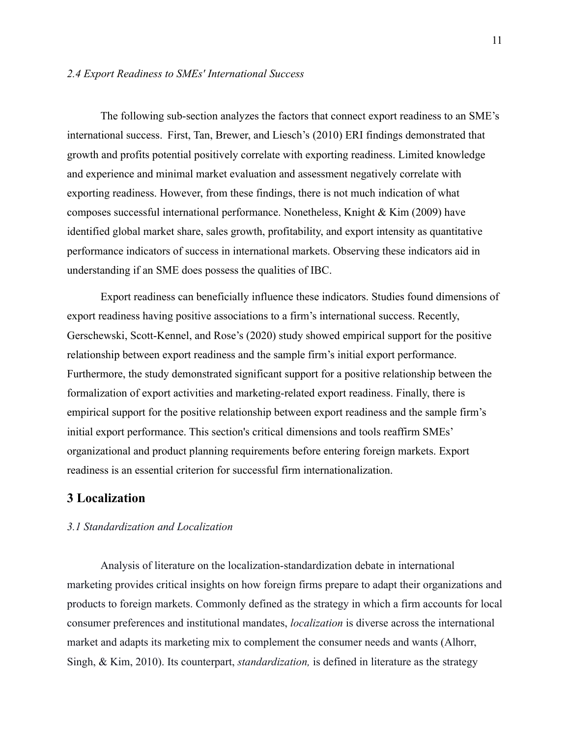#### *2.4 Export Readiness to SMEs' International Success*

The following sub-section analyzes the factors that connect export readiness to an SME's international success. First, Tan, Brewer, and Liesch's (2010) ERI findings demonstrated that growth and profits potential positively correlate with exporting readiness. Limited knowledge and experience and minimal market evaluation and assessment negatively correlate with exporting readiness. However, from these findings, there is not much indication of what composes successful international performance. Nonetheless, Knight & Kim (2009) have identified global market share, sales growth, profitability, and export intensity as quantitative performance indicators of success in international markets. Observing these indicators aid in understanding if an SME does possess the qualities of IBC.

Export readiness can beneficially influence these indicators. Studies found dimensions of export readiness having positive associations to a firm's international success. Recently, Gerschewski, Scott-Kennel, and Rose's (2020) study showed empirical support for the positive relationship between export readiness and the sample firm's initial export performance. Furthermore, the study demonstrated significant support for a positive relationship between the formalization of export activities and marketing-related export readiness. Finally, there is empirical support for the positive relationship between export readiness and the sample firm's initial export performance. This section's critical dimensions and tools reaffirm SMEs' organizational and product planning requirements before entering foreign markets. Export readiness is an essential criterion for successful firm internationalization.

#### **3 Localization**

#### *3.1 Standardization and Localization*

Analysis of literature on the localization-standardization debate in international marketing provides critical insights on how foreign firms prepare to adapt their organizations and products to foreign markets. Commonly defined as the strategy in which a firm accounts for local consumer preferences and institutional mandates, *localization* is diverse across the international market and adapts its marketing mix to complement the consumer needs and wants (Alhorr, Singh, & Kim, 2010). Its counterpart, *standardization,* is defined in literature as the strategy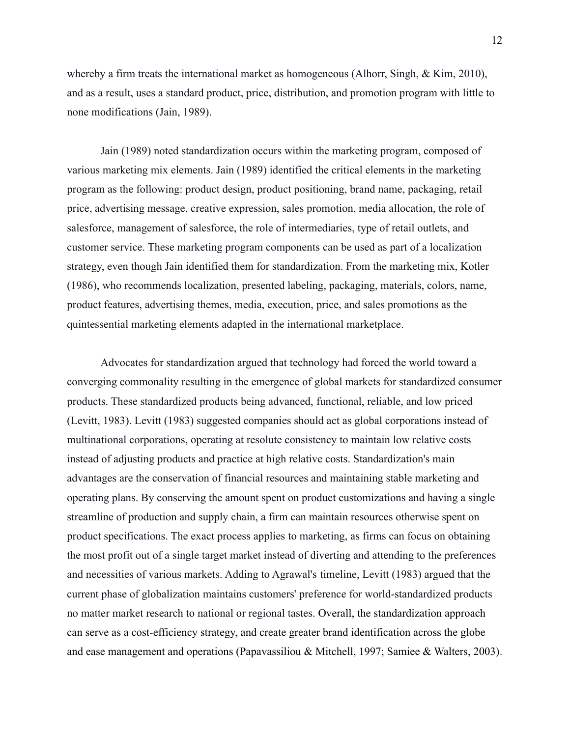whereby a firm treats the international market as homogeneous (Alhorr, Singh, & Kim, 2010), and as a result, uses a standard product, price, distribution, and promotion program with little to none modifications (Jain, 1989).

Jain (1989) noted standardization occurs within the marketing program, composed of various marketing mix elements. Jain (1989) identified the critical elements in the marketing program as the following: product design, product positioning, brand name, packaging, retail price, advertising message, creative expression, sales promotion, media allocation, the role of salesforce, management of salesforce, the role of intermediaries, type of retail outlets, and customer service. These marketing program components can be used as part of a localization strategy, even though Jain identified them for standardization. From the marketing mix, Kotler (1986), who recommends localization, presented labeling, packaging, materials, colors, name, product features, advertising themes, media, execution, price, and sales promotions as the quintessential marketing elements adapted in the international marketplace.

Advocates for standardization argued that technology had forced the world toward a converging commonality resulting in the emergence of global markets for standardized consumer products. These standardized products being advanced, functional, reliable, and low priced (Levitt, 1983). Levitt (1983) suggested companies should act as global corporations instead of multinational corporations, operating at resolute consistency to maintain low relative costs instead of adjusting products and practice at high relative costs. Standardization's main advantages are the conservation of financial resources and maintaining stable marketing and operating plans. By conserving the amount spent on product customizations and having a single streamline of production and supply chain, a firm can maintain resources otherwise spent on product specifications. The exact process applies to marketing, as firms can focus on obtaining the most profit out of a single target market instead of diverting and attending to the preferences and necessities of various markets. Adding to Agrawal's timeline, Levitt (1983) argued that the current phase of globalization maintains customers' preference for world-standardized products no matter market research to national or regional tastes. Overall, the standardization approach can serve as a cost-efficiency strategy, and create greater brand identification across the globe and ease management and operations (Papavassiliou & Mitchell, 1997; Samiee & Walters, 2003).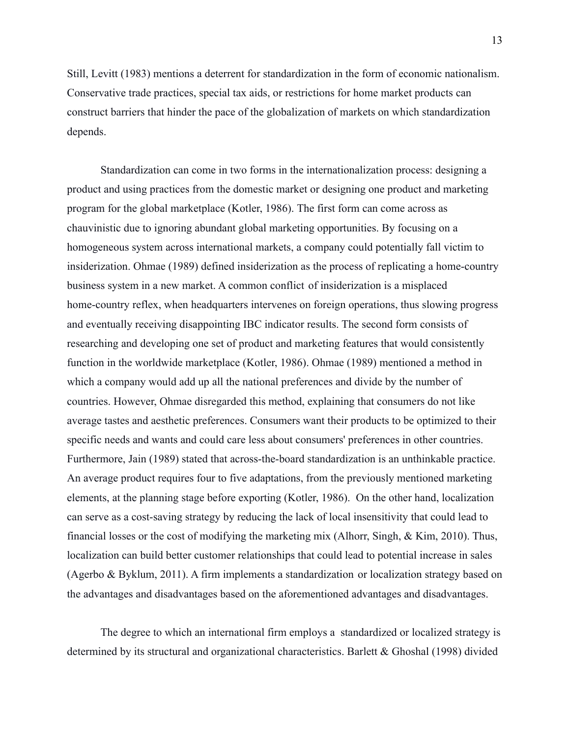Still, Levitt (1983) mentions a deterrent for standardization in the form of economic nationalism. Conservative trade practices, special tax aids, or restrictions for home market products can construct barriers that hinder the pace of the globalization of markets on which standardization depends.

Standardization can come in two forms in the internationalization process: designing a product and using practices from the domestic market or designing one product and marketing program for the global marketplace (Kotler, 1986). The first form can come across as chauvinistic due to ignoring abundant global marketing opportunities. By focusing on a homogeneous system across international markets, a company could potentially fall victim to insiderization. Ohmae (1989) defined insiderization as the process of replicating a home-country business system in a new market. A common conflict of insiderization is a misplaced home-country reflex, when headquarters intervenes on foreign operations, thus slowing progress and eventually receiving disappointing IBC indicator results. The second form consists of researching and developing one set of product and marketing features that would consistently function in the worldwide marketplace (Kotler, 1986). Ohmae (1989) mentioned a method in which a company would add up all the national preferences and divide by the number of countries. However, Ohmae disregarded this method, explaining that consumers do not like average tastes and aesthetic preferences. Consumers want their products to be optimized to their specific needs and wants and could care less about consumers' preferences in other countries. Furthermore, Jain (1989) stated that across-the-board standardization is an unthinkable practice. An average product requires four to five adaptations, from the previously mentioned marketing elements, at the planning stage before exporting (Kotler, 1986). On the other hand, localization can serve as a cost-saving strategy by reducing the lack of local insensitivity that could lead to financial losses or the cost of modifying the marketing mix (Alhorr, Singh, & Kim, 2010). Thus, localization can build better customer relationships that could lead to potential increase in sales (Agerbo & Byklum, 2011). A firm implements a standardization or localization strategy based on the advantages and disadvantages based on the aforementioned advantages and disadvantages.

The degree to which an international firm employs a standardized or localized strategy is determined by its structural and organizational characteristics. Barlett & Ghoshal (1998) divided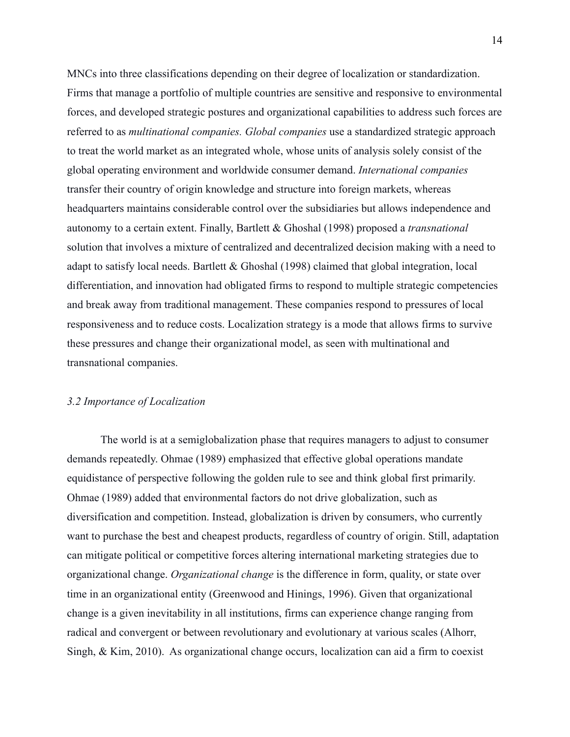MNCs into three classifications depending on their degree of localization or standardization. Firms that manage a portfolio of multiple countries are sensitive and responsive to environmental forces, and developed strategic postures and organizational capabilities to address such forces are referred to as *multinational companies. Global companies* use a standardized strategic approach to treat the world market as an integrated whole, whose units of analysis solely consist of the global operating environment and worldwide consumer demand. *International companies* transfer their country of origin knowledge and structure into foreign markets, whereas headquarters maintains considerable control over the subsidiaries but allows independence and autonomy to a certain extent. Finally, Bartlett & Ghoshal (1998) proposed a *transnational* solution that involves a mixture of centralized and decentralized decision making with a need to adapt to satisfy local needs. Bartlett & Ghoshal (1998) claimed that global integration, local differentiation, and innovation had obligated firms to respond to multiple strategic competencies and break away from traditional management. These companies respond to pressures of local responsiveness and to reduce costs. Localization strategy is a mode that allows firms to survive these pressures and change their organizational model, as seen with multinational and transnational companies.

#### *3.2 Importance of Localization*

The world is at a semiglobalization phase that requires managers to adjust to consumer demands repeatedly. Ohmae (1989) emphasized that effective global operations mandate equidistance of perspective following the golden rule to see and think global first primarily. Ohmae (1989) added that environmental factors do not drive globalization, such as diversification and competition. Instead, globalization is driven by consumers, who currently want to purchase the best and cheapest products, regardless of country of origin. Still, adaptation can mitigate political or competitive forces altering international marketing strategies due to organizational change. *Organizational change* is the difference in form, quality, or state over time in an organizational entity (Greenwood and Hinings, 1996). Given that organizational change is a given inevitability in all institutions, firms can experience change ranging from radical and convergent or between revolutionary and evolutionary at various scales (Alhorr, Singh, & Kim, 2010). As organizational change occurs, localization can aid a firm to coexist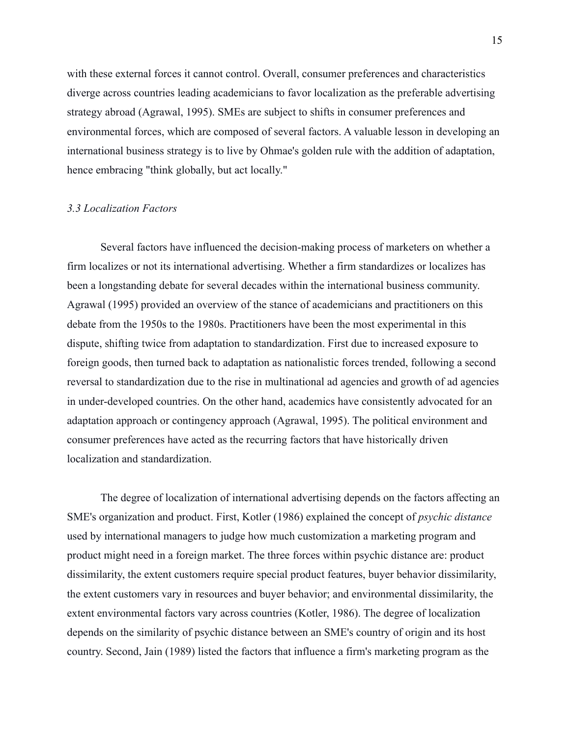with these external forces it cannot control. Overall, consumer preferences and characteristics diverge across countries leading academicians to favor localization as the preferable advertising strategy abroad (Agrawal, 1995). SMEs are subject to shifts in consumer preferences and environmental forces, which are composed of several factors. A valuable lesson in developing an international business strategy is to live by Ohmae's golden rule with the addition of adaptation, hence embracing "think globally, but act locally."

#### *3.3 Localization Factors*

Several factors have influenced the decision-making process of marketers on whether a firm localizes or not its international advertising. Whether a firm standardizes or localizes has been a longstanding debate for several decades within the international business community. Agrawal (1995) provided an overview of the stance of academicians and practitioners on this debate from the 1950s to the 1980s. Practitioners have been the most experimental in this dispute, shifting twice from adaptation to standardization. First due to increased exposure to foreign goods, then turned back to adaptation as nationalistic forces trended, following a second reversal to standardization due to the rise in multinational ad agencies and growth of ad agencies in under-developed countries. On the other hand, academics have consistently advocated for an adaptation approach or contingency approach (Agrawal, 1995). The political environment and consumer preferences have acted as the recurring factors that have historically driven localization and standardization.

The degree of localization of international advertising depends on the factors affecting an SME's organization and product. First, Kotler (1986) explained the concept of *psychic distance* used by international managers to judge how much customization a marketing program and product might need in a foreign market. The three forces within psychic distance are: product dissimilarity, the extent customers require special product features, buyer behavior dissimilarity, the extent customers vary in resources and buyer behavior; and environmental dissimilarity, the extent environmental factors vary across countries (Kotler, 1986). The degree of localization depends on the similarity of psychic distance between an SME's country of origin and its host country. Second, Jain (1989) listed the factors that influence a firm's marketing program as the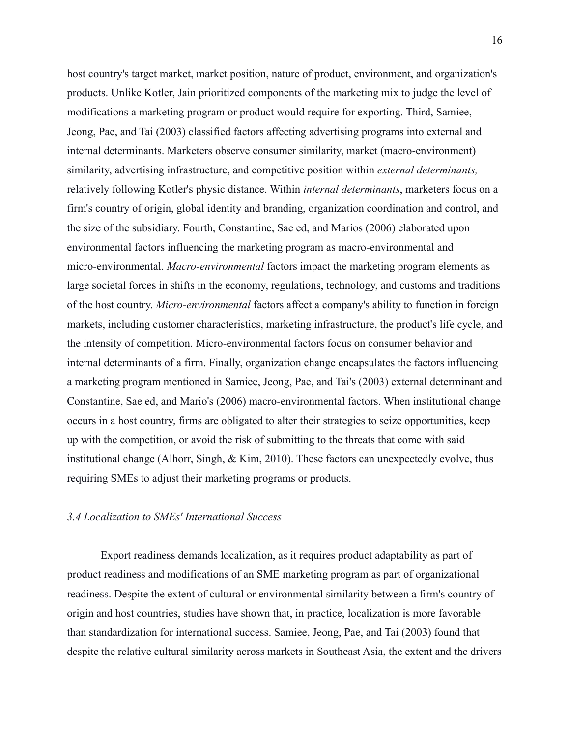host country's target market, market position, nature of product, environment, and organization's products. Unlike Kotler, Jain prioritized components of the marketing mix to judge the level of modifications a marketing program or product would require for exporting. Third, Samiee, Jeong, Pae, and Tai (2003) classified factors affecting advertising programs into external and internal determinants. Marketers observe consumer similarity, market (macro-environment) similarity, advertising infrastructure, and competitive position within *external determinants,* relatively following Kotler's physic distance. Within *internal determinants*, marketers focus on a firm's country of origin, global identity and branding, organization coordination and control, and the size of the subsidiary. Fourth, Constantine, Sae ed, and Marios (2006) elaborated upon environmental factors influencing the marketing program as macro-environmental and micro-environmental. *Macro-environmental* factors impact the marketing program elements as large societal forces in shifts in the economy, regulations, technology, and customs and traditions of the host country. *Micro-environmental* factors affect a company's ability to function in foreign markets, including customer characteristics, marketing infrastructure, the product's life cycle, and the intensity of competition. Micro-environmental factors focus on consumer behavior and internal determinants of a firm. Finally, organization change encapsulates the factors influencing a marketing program mentioned in Samiee, Jeong, Pae, and Tai's (2003) external determinant and Constantine, Sae ed, and Mario's (2006) macro-environmental factors. When institutional change occurs in a host country, firms are obligated to alter their strategies to seize opportunities, keep up with the competition, or avoid the risk of submitting to the threats that come with said institutional change (Alhorr, Singh, & Kim, 2010). These factors can unexpectedly evolve, thus requiring SMEs to adjust their marketing programs or products.

#### *3.4 Localization to SMEs' International Success*

Export readiness demands localization, as it requires product adaptability as part of product readiness and modifications of an SME marketing program as part of organizational readiness. Despite the extent of cultural or environmental similarity between a firm's country of origin and host countries, studies have shown that, in practice, localization is more favorable than standardization for international success. Samiee, Jeong, Pae, and Tai (2003) found that despite the relative cultural similarity across markets in Southeast Asia, the extent and the drivers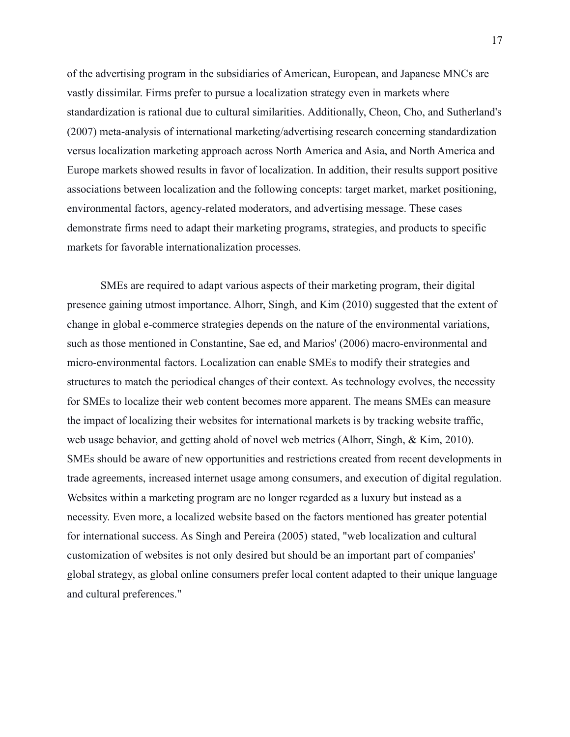of the advertising program in the subsidiaries of American, European, and Japanese MNCs are vastly dissimilar. Firms prefer to pursue a localization strategy even in markets where standardization is rational due to cultural similarities. Additionally, Cheon, Cho, and Sutherland's (2007) meta-analysis of international marketing/advertising research concerning standardization versus localization marketing approach across North America and Asia, and North America and Europe markets showed results in favor of localization. In addition, their results support positive associations between localization and the following concepts: target market, market positioning, environmental factors, agency-related moderators, and advertising message. These cases demonstrate firms need to adapt their marketing programs, strategies, and products to specific markets for favorable internationalization processes.

SMEs are required to adapt various aspects of their marketing program, their digital presence gaining utmost importance. Alhorr, Singh, and Kim (2010) suggested that the extent of change in global e-commerce strategies depends on the nature of the environmental variations, such as those mentioned in Constantine, Sae ed, and Marios' (2006) macro-environmental and micro-environmental factors. Localization can enable SMEs to modify their strategies and structures to match the periodical changes of their context. As technology evolves, the necessity for SMEs to localize their web content becomes more apparent. The means SMEs can measure the impact of localizing their websites for international markets is by tracking website traffic, web usage behavior, and getting ahold of novel web metrics (Alhorr, Singh, & Kim, 2010). SMEs should be aware of new opportunities and restrictions created from recent developments in trade agreements, increased internet usage among consumers, and execution of digital regulation. Websites within a marketing program are no longer regarded as a luxury but instead as a necessity. Even more, a localized website based on the factors mentioned has greater potential for international success. As Singh and Pereira (2005) stated, "web localization and cultural customization of websites is not only desired but should be an important part of companies' global strategy, as global online consumers prefer local content adapted to their unique language and cultural preferences."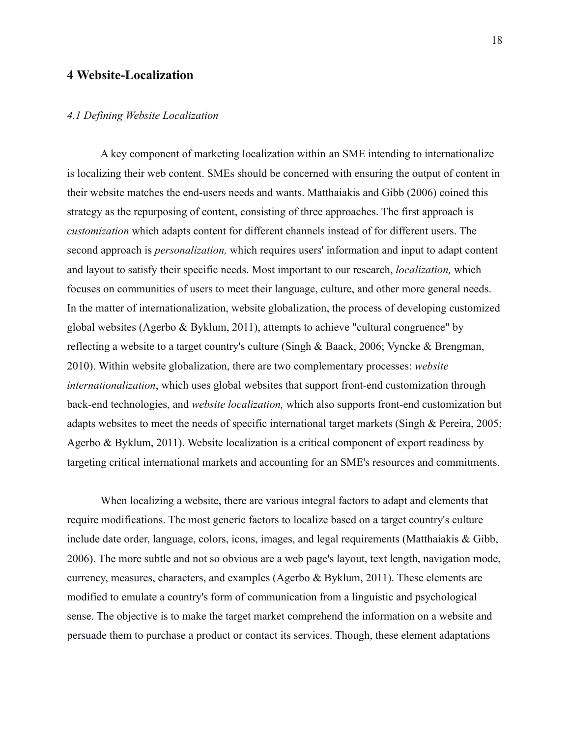#### **4 Website-Localization**

#### *4.1 Defining Website Localization*

A key component of marketing localization within an SME intending to internationalize is localizing their web content. SMEs should be concerned with ensuring the output of content in their website matches the end-users needs and wants. Matthaiakis and Gibb (2006) coined this strategy as the repurposing of content, consisting of three approaches. The first approach is *customization* which adapts content for different channels instead of for different users. The second approach is *personalization,* which requires users' information and input to adapt content and layout to satisfy their specific needs. Most important to our research, *localization,* which focuses on communities of users to meet their language, culture, and other more general needs. In the matter of internationalization, website globalization, the process of developing customized global websites (Agerbo & Byklum, 2011), attempts to achieve "cultural congruence" by reflecting a website to a target country's culture (Singh & Baack, 2006; Vyncke & Brengman, 2010). Within website globalization, there are two complementary processes: *website internationalization*, which uses global websites that support front-end customization through back-end technologies, and *website localization,* which also supports front-end customization but adapts websites to meet the needs of specific international target markets (Singh & Pereira, 2005; Agerbo & Byklum, 2011). Website localization is a critical component of export readiness by targeting critical international markets and accounting for an SME's resources and commitments.

When localizing a website, there are various integral factors to adapt and elements that require modifications. The most generic factors to localize based on a target country's culture include date order, language, colors, icons, images, and legal requirements (Matthaiakis & Gibb, 2006). The more subtle and not so obvious are a web page's layout, text length, navigation mode, currency, measures, characters, and examples (Agerbo & Byklum, 2011). These elements are modified to emulate a country's form of communication from a linguistic and psychological sense. The objective is to make the target market comprehend the information on a website and persuade them to purchase a product or contact its services. Though, these element adaptations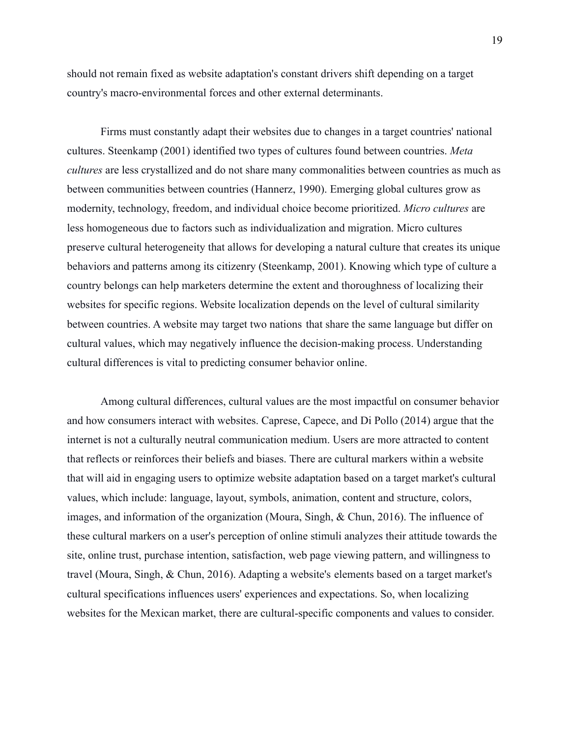should not remain fixed as website adaptation's constant drivers shift depending on a target country's macro-environmental forces and other external determinants.

Firms must constantly adapt their websites due to changes in a target countries' national cultures. Steenkamp (2001) identified two types of cultures found between countries. *Meta cultures* are less crystallized and do not share many commonalities between countries as much as between communities between countries (Hannerz, 1990). Emerging global cultures grow as modernity, technology, freedom, and individual choice become prioritized. *Micro cultures* are less homogeneous due to factors such as individualization and migration. Micro cultures preserve cultural heterogeneity that allows for developing a natural culture that creates its unique behaviors and patterns among its citizenry (Steenkamp, 2001). Knowing which type of culture a country belongs can help marketers determine the extent and thoroughness of localizing their websites for specific regions. Website localization depends on the level of cultural similarity between countries. A website may target two nations that share the same language but differ on cultural values, which may negatively influence the decision-making process. Understanding cultural differences is vital to predicting consumer behavior online.

Among cultural differences, cultural values are the most impactful on consumer behavior and how consumers interact with websites. Caprese, Capece, and Di Pollo (2014) argue that the internet is not a culturally neutral communication medium. Users are more attracted to content that reflects or reinforces their beliefs and biases. There are cultural markers within a website that will aid in engaging users to optimize website adaptation based on a target market's cultural values, which include: language, layout, symbols, animation, content and structure, colors, images, and information of the organization (Moura, Singh, & Chun, 2016). The influence of these cultural markers on a user's perception of online stimuli analyzes their attitude towards the site, online trust, purchase intention, satisfaction, web page viewing pattern, and willingness to travel (Moura, Singh, & Chun, 2016). Adapting a website's elements based on a target market's cultural specifications influences users' experiences and expectations. So, when localizing websites for the Mexican market, there are cultural-specific components and values to consider.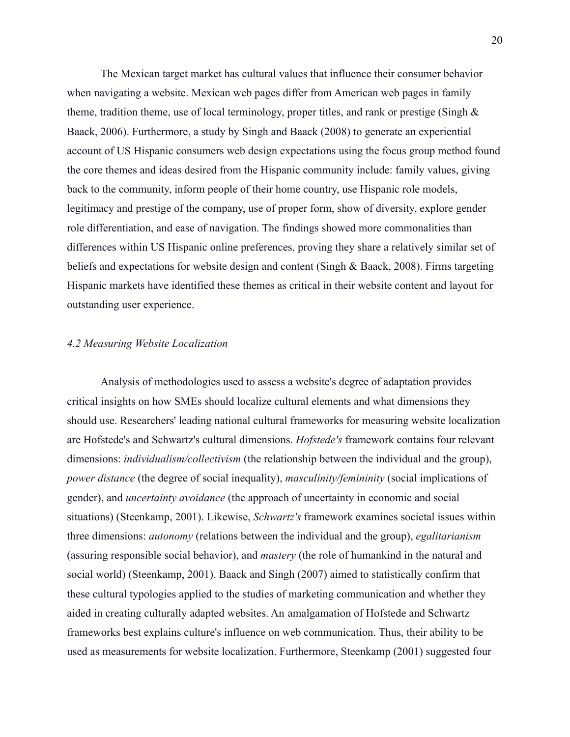The Mexican target market has cultural values that influence their consumer behavior when navigating a website. Mexican web pages differ from American web pages in family theme, tradition theme, use of local terminology, proper titles, and rank or prestige (Singh & Baack, 2006). Furthermore, a study by Singh and Baack (2008) to generate an experiential account of US Hispanic consumers web design expectations using the focus group method found the core themes and ideas desired from the Hispanic community include: family values, giving back to the community, inform people of their home country, use Hispanic role models, legitimacy and prestige of the company, use of proper form, show of diversity, explore gender role differentiation, and ease of navigation. The findings showed more commonalities than differences within US Hispanic online preferences, proving they share a relatively similar set of beliefs and expectations for website design and content (Singh & Baack, 2008). Firms targeting Hispanic markets have identified these themes as critical in their website content and layout for outstanding user experience.

#### *4.2 Measuring Website Localization*

Analysis of methodologies used to assess a website's degree of adaptation provides critical insights on how SMEs should localize cultural elements and what dimensions they should use. Researchers' leading national cultural frameworks for measuring website localization are Hofstede's and Schwartz's cultural dimensions. *Hofstede's* framework contains four relevant dimensions: *individualism/collectivism* (the relationship between the individual and the group), *power distance* (the degree of social inequality), *masculinity/femininity* (social implications of gender), and *uncertainty avoidance* (the approach of uncertainty in economic and social situations) (Steenkamp, 2001). Likewise, *Schwartz's* framework examines societal issues within three dimensions: *autonomy* (relations between the individual and the group), *egalitarianism* (assuring responsible social behavior), and *mastery* (the role of humankind in the natural and social world) (Steenkamp, 2001). Baack and Singh (2007) aimed to statistically confirm that these cultural typologies applied to the studies of marketing communication and whether they aided in creating culturally adapted websites. An amalgamation of Hofstede and Schwartz frameworks best explains culture's influence on web communication. Thus, their ability to be used as measurements for website localization. Furthermore, Steenkamp (2001) suggested four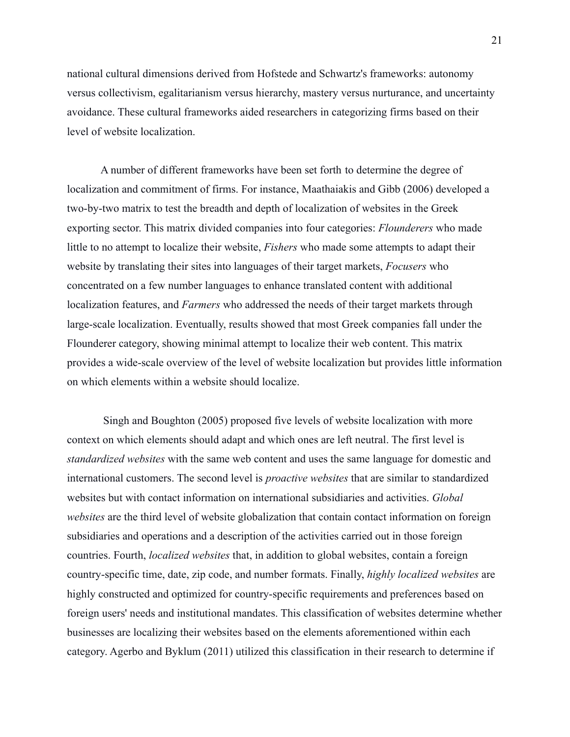national cultural dimensions derived from Hofstede and Schwartz's frameworks: autonomy versus collectivism, egalitarianism versus hierarchy, mastery versus nurturance, and uncertainty avoidance. These cultural frameworks aided researchers in categorizing firms based on their level of website localization.

A number of different frameworks have been set forth to determine the degree of localization and commitment of firms. For instance, Maathaiakis and Gibb (2006) developed a two-by-two matrix to test the breadth and depth of localization of websites in the Greek exporting sector. This matrix divided companies into four categories: *Flounderers* who made little to no attempt to localize their website, *Fishers* who made some attempts to adapt their website by translating their sites into languages of their target markets, *Focusers* who concentrated on a few number languages to enhance translated content with additional localization features, and *Farmers* who addressed the needs of their target markets through large-scale localization. Eventually, results showed that most Greek companies fall under the Flounderer category, showing minimal attempt to localize their web content. This matrix provides a wide-scale overview of the level of website localization but provides little information on which elements within a website should localize.

Singh and Boughton (2005) proposed five levels of website localization with more context on which elements should adapt and which ones are left neutral. The first level is *standardized websites* with the same web content and uses the same language for domestic and international customers. The second level is *proactive websites* that are similar to standardized websites but with contact information on international subsidiaries and activities. *Global websites* are the third level of website globalization that contain contact information on foreign subsidiaries and operations and a description of the activities carried out in those foreign countries. Fourth, *localized websites* that, in addition to global websites, contain a foreign country-specific time, date, zip code, and number formats. Finally, *highly localized websites* are highly constructed and optimized for country-specific requirements and preferences based on foreign users' needs and institutional mandates. This classification of websites determine whether businesses are localizing their websites based on the elements aforementioned within each category. Agerbo and Byklum (2011) utilized this classification in their research to determine if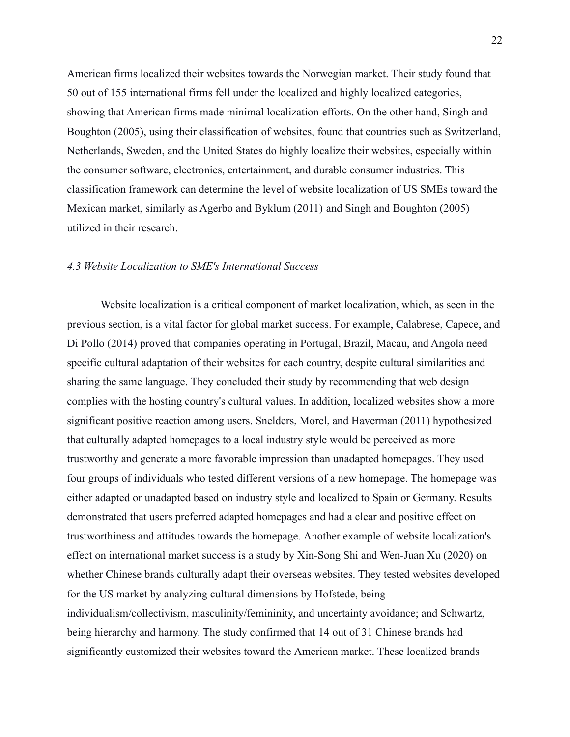American firms localized their websites towards the Norwegian market. Their study found that 50 out of 155 international firms fell under the localized and highly localized categories, showing that American firms made minimal localization efforts. On the other hand, Singh and Boughton (2005), using their classification of websites, found that countries such as Switzerland, Netherlands, Sweden, and the United States do highly localize their websites, especially within the consumer software, electronics, entertainment, and durable consumer industries. This classification framework can determine the level of website localization of US SMEs toward the Mexican market, similarly as Agerbo and Byklum (2011) and Singh and Boughton (2005) utilized in their research.

#### *4.3 Website Localization to SME's International Success*

Website localization is a critical component of market localization, which, as seen in the previous section, is a vital factor for global market success. For example, Calabrese, Capece, and Di Pollo (2014) proved that companies operating in Portugal, Brazil, Macau, and Angola need specific cultural adaptation of their websites for each country, despite cultural similarities and sharing the same language. They concluded their study by recommending that web design complies with the hosting country's cultural values. In addition, localized websites show a more significant positive reaction among users. Snelders, Morel, and Haverman (2011) hypothesized that culturally adapted homepages to a local industry style would be perceived as more trustworthy and generate a more favorable impression than unadapted homepages. They used four groups of individuals who tested different versions of a new homepage. The homepage was either adapted or unadapted based on industry style and localized to Spain or Germany. Results demonstrated that users preferred adapted homepages and had a clear and positive effect on trustworthiness and attitudes towards the homepage. Another example of website localization's effect on international market success is a study by Xin-Song Shi and Wen-Juan Xu (2020) on whether Chinese brands culturally adapt their overseas websites. They tested websites developed for the US market by analyzing cultural dimensions by Hofstede, being individualism/collectivism, masculinity/femininity, and uncertainty avoidance; and Schwartz, being hierarchy and harmony. The study confirmed that 14 out of 31 Chinese brands had significantly customized their websites toward the American market. These localized brands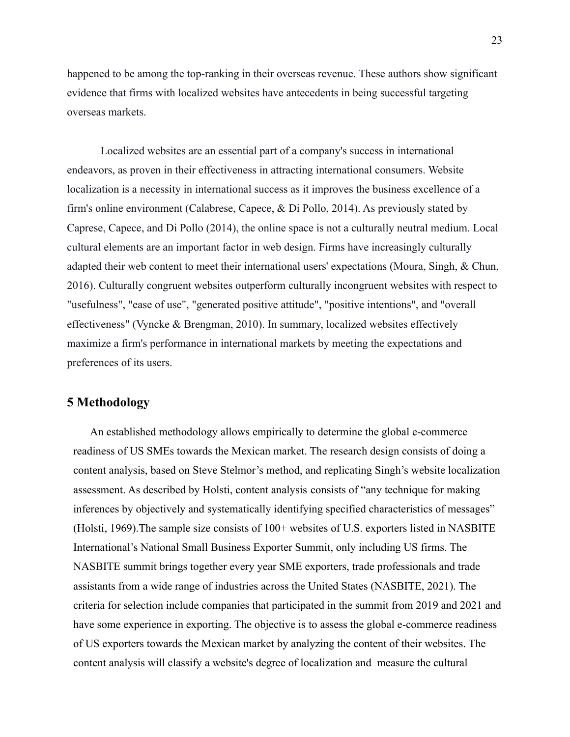happened to be among the top-ranking in their overseas revenue. These authors show significant evidence that firms with localized websites have antecedents in being successful targeting overseas markets.

Localized websites are an essential part of a company's success in international endeavors, as proven in their effectiveness in attracting international consumers. Website localization is a necessity in international success as it improves the business excellence of a firm's online environment (Calabrese, Capece, & Di Pollo, 2014). As previously stated by Caprese, Capece, and Di Pollo (2014), the online space is not a culturally neutral medium. Local cultural elements are an important factor in web design. Firms have increasingly culturally adapted their web content to meet their international users' expectations (Moura, Singh, & Chun, 2016). Culturally congruent websites outperform culturally incongruent websites with respect to "usefulness", "ease of use", "generated positive attitude", "positive intentions", and "overall effectiveness" (Vyncke & Brengman, 2010). In summary, localized websites effectively maximize a firm's performance in international markets by meeting the expectations and preferences of its users.

#### **5 Methodology**

An established methodology allows empirically to determine the global e-commerce readiness of US SMEs towards the Mexican market. The research design consists of doing a content analysis, based on Steve Stelmor's method, and replicating Singh's website localization assessment. As described by Holsti, content analysis consists of "any technique for making inferences by objectively and systematically identifying specified characteristics of messages" (Holsti, 1969).The sample size consists of 100+ websites of U.S. exporters listed in NASBITE International's National Small Business Exporter Summit, only including US firms. The NASBITE summit brings together every year SME exporters, trade professionals and trade assistants from a wide range of industries across the United States (NASBITE, 2021). The criteria for selection include companies that participated in the summit from 2019 and 2021 and have some experience in exporting. The objective is to assess the global e-commerce readiness of US exporters towards the Mexican market by analyzing the content of their websites. The content analysis will classify a website's degree of localization and measure the cultural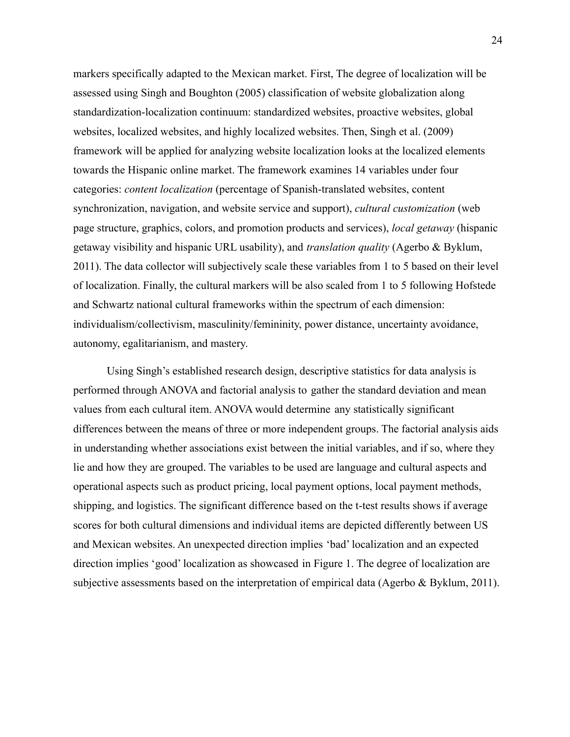markers specifically adapted to the Mexican market. First, The degree of localization will be assessed using Singh and Boughton (2005) classification of website globalization along standardization-localization continuum: standardized websites, proactive websites, global websites, localized websites, and highly localized websites. Then, Singh et al. (2009) framework will be applied for analyzing website localization looks at the localized elements towards the Hispanic online market. The framework examines 14 variables under four categories: *content localization* (percentage of Spanish-translated websites, content synchronization, navigation, and website service and support), *cultural customization* (web page structure, graphics, colors, and promotion products and services), *local getaway* (hispanic getaway visibility and hispanic URL usability), and *translation quality* (Agerbo & Byklum, 2011). The data collector will subjectively scale these variables from 1 to 5 based on their level of localization. Finally, the cultural markers will be also scaled from 1 to 5 following Hofstede and Schwartz national cultural frameworks within the spectrum of each dimension: individualism/collectivism, masculinity/femininity, power distance, uncertainty avoidance, autonomy, egalitarianism, and mastery.

Using Singh's established research design, descriptive statistics for data analysis is performed through ANOVA and factorial analysis to gather the standard deviation and mean values from each cultural item. ANOVA would determine any statistically significant differences between the means of three or more independent groups. The factorial analysis aids in understanding whether associations exist between the initial variables, and if so, where they lie and how they are grouped. The variables to be used are language and cultural aspects and operational aspects such as product pricing, local payment options, local payment methods, shipping, and logistics. The significant difference based on the t-test results shows if average scores for both cultural dimensions and individual items are depicted differently between US and Mexican websites. An unexpected direction implies 'bad' localization and an expected direction implies 'good' localization as showcased in Figure 1. The degree of localization are subjective assessments based on the interpretation of empirical data (Agerbo & Byklum, 2011).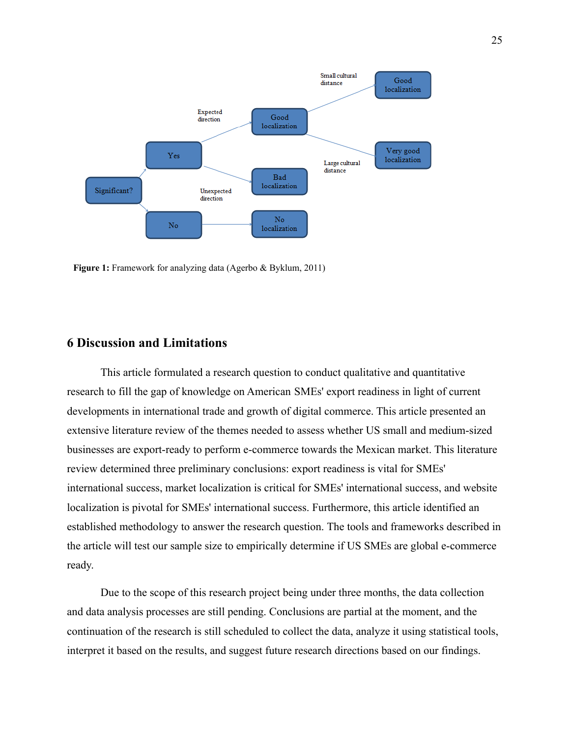

**Figure 1:** Framework for analyzing data (Agerbo & Byklum, 2011)

#### **6 Discussion and Limitations**

This article formulated a research question to conduct qualitative and quantitative research to fill the gap of knowledge on American SMEs' export readiness in light of current developments in international trade and growth of digital commerce. This article presented an extensive literature review of the themes needed to assess whether US small and medium-sized businesses are export-ready to perform e-commerce towards the Mexican market. This literature review determined three preliminary conclusions: export readiness is vital for SMEs' international success, market localization is critical for SMEs' international success, and website localization is pivotal for SMEs' international success. Furthermore, this article identified an established methodology to answer the research question. The tools and frameworks described in the article will test our sample size to empirically determine if US SMEs are global e-commerce ready.

Due to the scope of this research project being under three months, the data collection and data analysis processes are still pending. Conclusions are partial at the moment, and the continuation of the research is still scheduled to collect the data, analyze it using statistical tools, interpret it based on the results, and suggest future research directions based on our findings.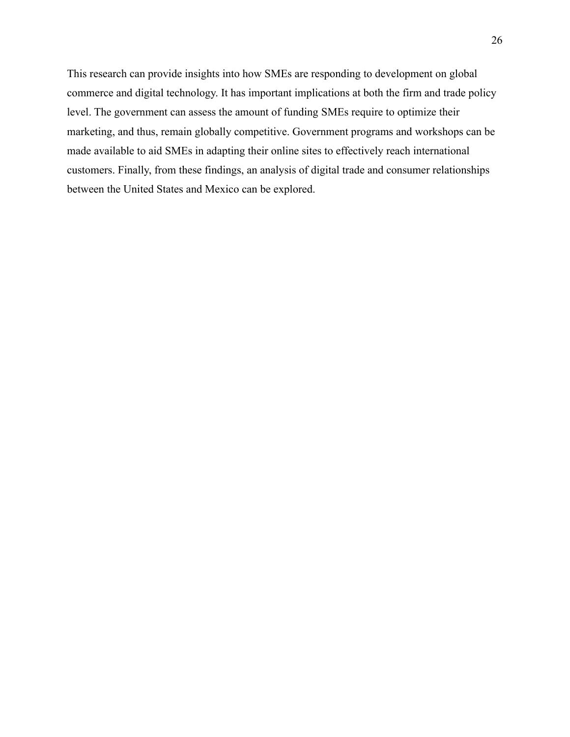This research can provide insights into how SMEs are responding to development on global commerce and digital technology. It has important implications at both the firm and trade policy level. The government can assess the amount of funding SMEs require to optimize their marketing, and thus, remain globally competitive. Government programs and workshops can be made available to aid SMEs in adapting their online sites to effectively reach international customers. Finally, from these findings, an analysis of digital trade and consumer relationships between the United States and Mexico can be explored.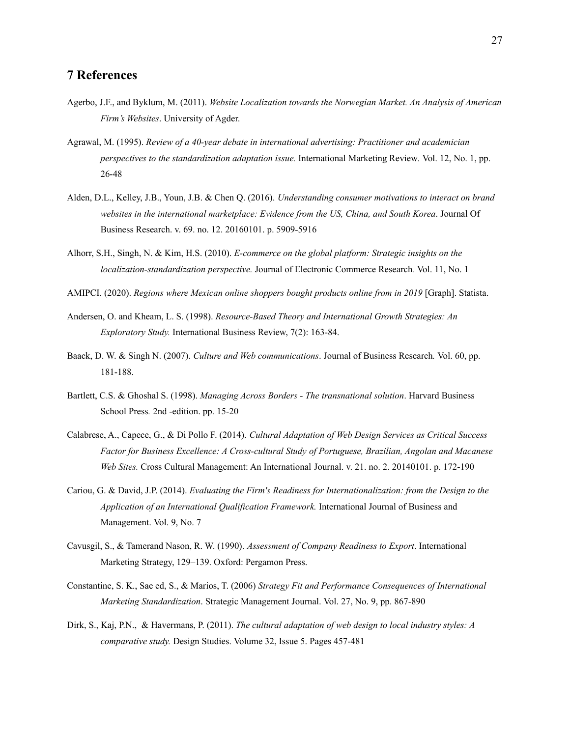#### **7 References**

- Agerbo, J.F., and Byklum, M. (2011). *Website Localization towards the Norwegian Market. An Analysis of American Firm's Websites*. University of Agder.
- Agrawal, M. (1995). *Review of a 40-year debate in international advertising: Practitioner and academician perspectives to the standardization adaptation issue.* International Marketing Review*.* Vol. 12, No. 1, pp. 26-48
- Alden, D.L., Kelley, J.B., Youn, J.B. & Chen Q. (2016). *Understanding consumer motivations to interact on brand websites in the international marketplace: Evidence from the US, China, and South Korea*. Journal Of Business Research. v. 69. no. 12. 20160101. p. 5909-5916
- Alhorr, S.H., Singh, N. & Kim, H.S. (2010). *E-commerce on the global platform: Strategic insights on the localization-standardization perspective.* Journal of Electronic Commerce Research*.* Vol. 11, No. 1
- AMIPCI. (2020). *Regions where Mexican online shoppers bought products online from in 2019* [Graph]. Statista.
- Andersen, O. and Kheam, L. S. (1998). *Resource-Based Theory and International Growth Strategies: An Exploratory Study.* International Business Review, 7(2): 163-84.
- Baack, D. W. & Singh N. (2007). *Culture and Web communications*. Journal of Business Research*.* Vol. 60, pp. 181-188.
- Bartlett, C.S. & Ghoshal S. (1998). *Managing Across Borders - The transnational solution*. Harvard Business School Press*.* 2nd -edition. pp. 15-20
- Calabrese, A., Capece, G., & Di Pollo F. (2014). *Cultural Adaptation of Web Design Services as Critical Success Factor for Business Excellence: A Cross-cultural Study of Portuguese, Brazilian, Angolan and Macanese Web Sites.* Cross Cultural Management: An International Journal. v. 21. no. 2. 20140101. p. 172-190
- Cariou, G. & David, J.P. (2014). *Evaluating the Firm's Readiness for Internationalization: from the Design to the Application of an International Qualification Framework.* International Journal of Business and Management. Vol. 9, No. 7
- Cavusgil, S., & Tamerand Nason, R. W. (1990). *Assessment of Company Readiness to Export*. International Marketing Strategy, 129–139. Oxford: Pergamon Press.
- Constantine, S. K., Sae ed, S., & Marios, T. (2006) *Strategy Fit and Performance Consequences of International Marketing Standardization*. Strategic Management Journal. Vol. 27, No. 9, pp. 867-890
- Dirk, S., Kaj, P.N., & Havermans, P. (2011). *The cultural adaptation of web design to local industry styles: A comparative study.* Design Studies. Volume 32, Issue 5. Pages 457-481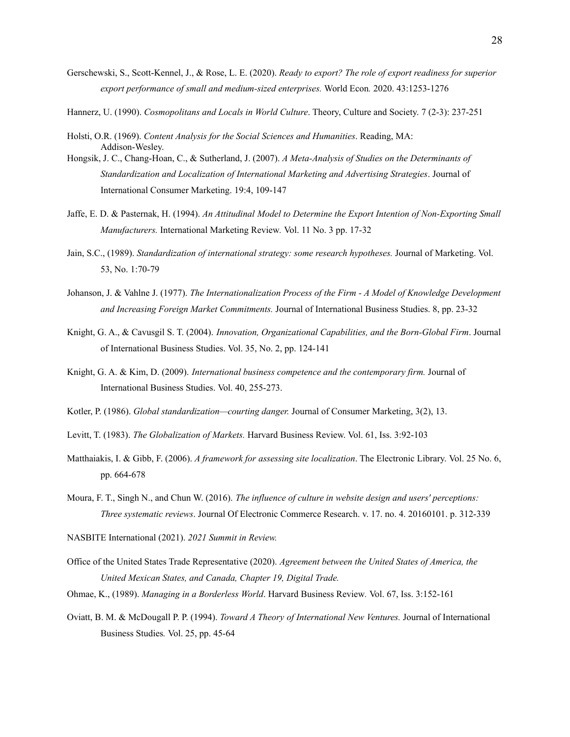- Gerschewski, S., Scott-Kennel, J., & Rose, L. E. (2020). *Ready to export? The role of export readiness for superior export performance of small and medium-sized enterprises.* World Econ*.* 2020. 43:1253-1276
- Hannerz, U. (1990). *Cosmopolitans and Locals in World Culture*. Theory, Culture and Society. 7 (2-3): 237-251
- Holsti, O.R. (1969). *Content Analysis for the Social Sciences and Humanities*. Reading, MA: Addison-Wesley.
- Hongsik, J. C., Chang-Hoan, C., & Sutherland, J. (2007). *A Meta-Analysis of Studies on the Determinants of Standardization and Localization of International Marketing and Advertising Strategies*. Journal of International Consumer Marketing. 19:4, 109-147
- Jaffe, E. D. & Pasternak, H. (1994). *An Attitudinal Model to Determine the Export Intention of Non-Exporting Small Manufacturers.* International Marketing Review*.* Vol. 11 No. 3 pp. 17-32
- Jain, S.C., (1989). *Standardization of international strategy: some research hypotheses.* Journal of Marketing. Vol. 53, No. 1:70-79
- Johanson, J. & Vahlne J. (1977). *The Internationalization Process of the Firm - A Model of Knowledge Development and Increasing Foreign Market Commitments.* Journal of International Business Studies. 8, pp. 23-32
- Knight, G. A., & Cavusgil S. T. (2004). *Innovation, Organizational Capabilities, and the Born-Global Firm*. Journal of International Business Studies. Vol. 35, No. 2, pp. 124-141
- Knight, G. A. & Kim, D. (2009). *International business competence and the contemporary firm.* Journal of International Business Studies. Vol. 40, 255-273.
- Kotler, P. (1986). *Global standardization—courting danger.* Journal of Consumer Marketing, 3(2), 13.
- Levitt, T. (1983). *The Globalization of Markets.* Harvard Business Review. Vol. 61, Iss. 3:92-103
- Matthaiakis, I. & Gibb, F. (2006). *A framework for assessing site localization*. The Electronic Library. Vol. 25 No. 6, pp. 664-678
- Moura, F. T., Singh N., and Chun W. (2016). *The influence of culture in website design and users' perceptions: Three systematic reviews*. Journal Of Electronic Commerce Research. v. 17. no. 4. 20160101. p. 312-339
- NASBITE International (2021). *2021 Summit in Review.*
- Office of the United States Trade Representative (2020). *Agreement between the United States of America, the United Mexican States, and Canada, Chapter 19, Digital Trade.*
- Ohmae, K., (1989). *Managing in a Borderless World*. Harvard Business Review*.* Vol. 67, Iss. 3:152-161
- Oviatt, B. M. & McDougall P. P. (1994). *Toward A Theory of International New Ventures.* Journal of International Business Studies*.* Vol. 25, pp. 45-64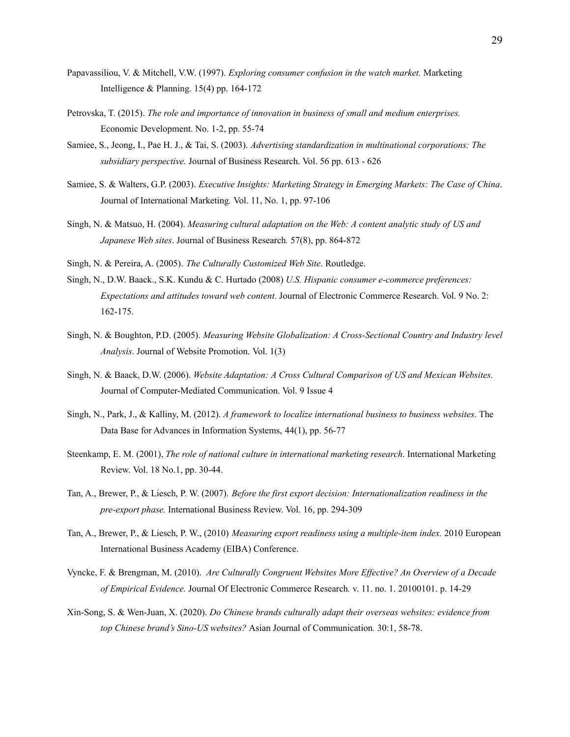- Papavassiliou, V. & Mitchell, V.W. (1997). *Exploring consumer confusion in the watch market.* Marketing Intelligence & Planning. 15(4) pp. 164-172
- Petrovska, T. (2015). *The role and importance of innovation in business of small and medium enterprises.* Economic Development. No. 1-2, pp. 55-74
- Samiee, S., Jeong, I., Pae H. J., & Tai, S. (2003). *Advertising standardization in multinational corporations: The subsidiary perspective.* Journal of Business Research. Vol. 56 pp. 613 - 626
- Samiee, S. & Walters, G.P. (2003). *Executive Insights: Marketing Strategy in Emerging Markets: The Case of China*. Journal of International Marketing*.* Vol. 11, No. 1, pp. 97-106
- Singh, N. & Matsuo, H. (2004). *Measuring cultural adaptation on the Web: A content analytic study of US and Japanese Web sites*. Journal of Business Research*.* 57(8), pp. 864-872
- Singh, N. & Pereira, A. (2005). *The Culturally Customized Web Site*. Routledge.
- Singh, N., D.W. Baack., S.K. Kundu & C. Hurtado (2008) *U.S. Hispanic consumer e-commerce preferences: Expectations and attitudes toward web content.* Journal of Electronic Commerce Research. Vol. 9 No. 2: 162-175.
- Singh, N. & Boughton, P.D. (2005). *Measuring Website Globalization: A Cross-Sectional Country and Industry level Analysis*. Journal of Website Promotion. Vol. 1(3)
- Singh, N. & Baack, D.W. (2006). *Website Adaptation: A Cross Cultural Comparison of US and Mexican Websites.* Journal of Computer-Mediated Communication. Vol. 9 Issue 4
- Singh, N., Park, J., & Kalliny, M. (2012). *A framework to localize international business to business websites*. The Data Base for Advances in Information Systems, 44(1), pp. 56-77
- Steenkamp, E. M. (2001), *The role of national culture in international marketing research*. International Marketing Review. Vol. 18 No.1, pp. 30-44.
- Tan, A., Brewer, P., & Liesch, P. W. (2007). *Before the first export decision: Internationalization readiness in the pre-export phase.* International Business Review. Vol. 16, pp. 294-309
- Tan, A., Brewer, P., & Liesch, P. W., (2010) *Measuring export readiness using a multiple-item index.* 2010 European International Business Academy (EIBA) Conference.
- Vyncke, F. & Brengman, M. (2010). *Are Culturally Congruent Websites More Ef ective? An Overview of a Decade of Empirical Evidence.* Journal Of Electronic Commerce Research*.* v. 11. no. 1. 20100101. p. 14-29
- Xin-Song, S. & Wen-Juan, X. (2020). *Do Chinese brands culturally adapt their overseas websites: evidence from top Chinese brand's Sino-US websites?* Asian Journal of Communication*.* 30:1, 58-78.